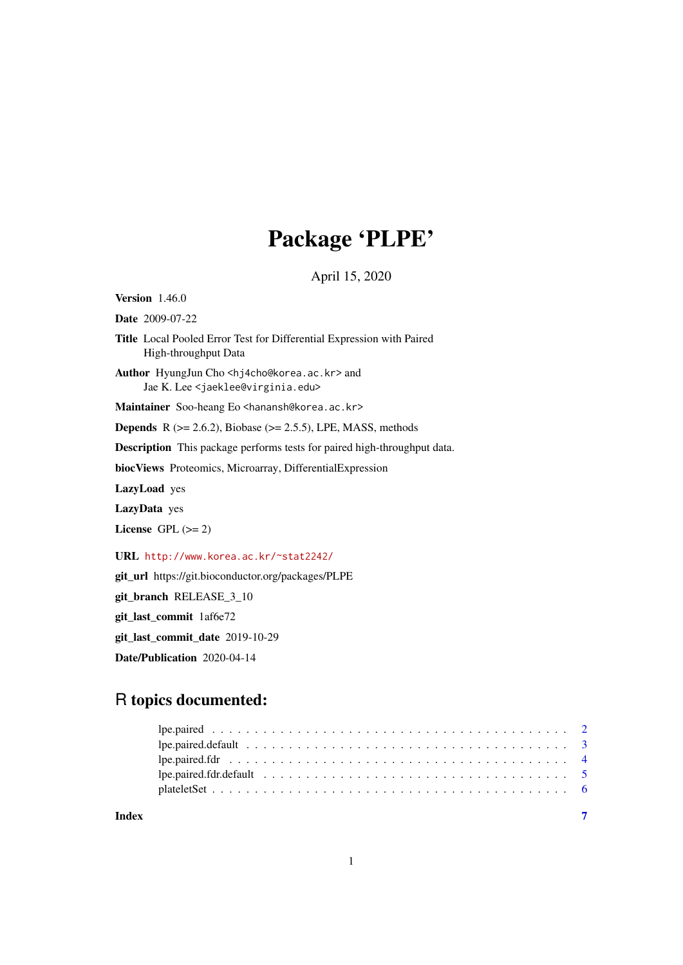## Package 'PLPE'

April 15, 2020

Version 1.46.0 Date 2009-07-22

Title Local Pooled Error Test for Differential Expression with Paired High-throughput Data

Author HyungJun Cho <hj4cho@korea.ac.kr> and Jae K. Lee <jaeklee@virginia.edu>

Maintainer Soo-heang Eo <hanansh@korea.ac.kr>

**Depends** R  $(>= 2.6.2)$ , Biobase  $(>= 2.5.5)$ , LPE, MASS, methods

Description This package performs tests for paired high-throughput data.

biocViews Proteomics, Microarray, DifferentialExpression

LazyLoad yes

LazyData yes

License GPL  $(>= 2)$ 

URL <http://www.korea.ac.kr/~stat2242/>

git\_url https://git.bioconductor.org/packages/PLPE

git\_branch RELEASE\_3\_10

git\_last\_commit 1af6e72

git\_last\_commit\_date 2019-10-29

Date/Publication 2020-04-14

### R topics documented:

**Index** [7](#page-6-0)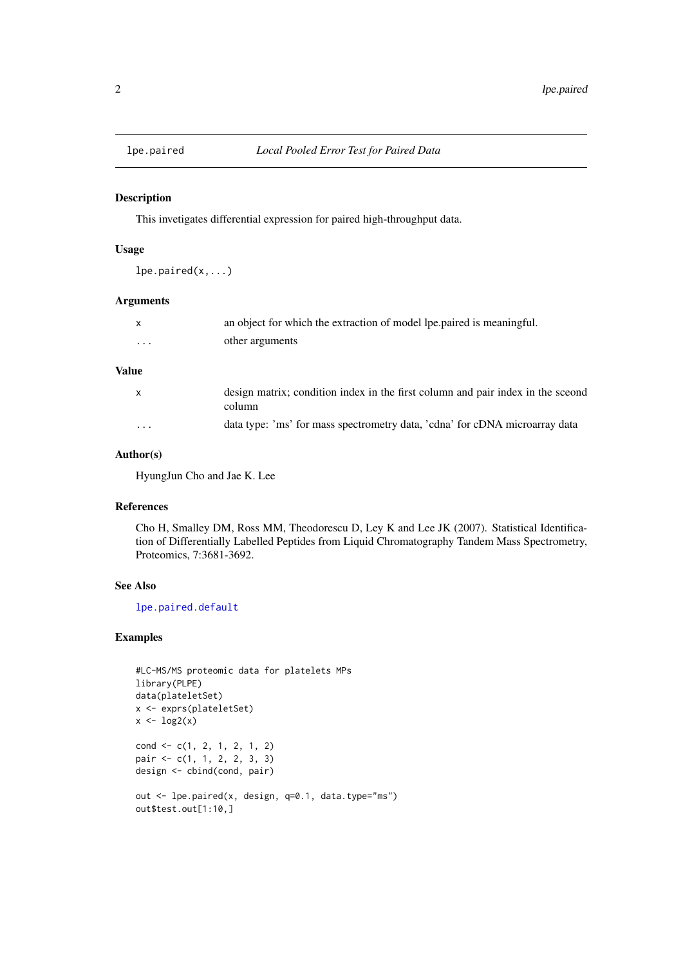<span id="page-1-1"></span><span id="page-1-0"></span>

#### Description

This invetigates differential expression for paired high-throughput data.

#### Usage

 $lpe.paired(x,...)$ 

#### Arguments

|          | an object for which the extraction of model lpe, paired is meaningful. |
|----------|------------------------------------------------------------------------|
| $\cdots$ | other arguments                                                        |

#### Value

| $\mathsf{x}$ | design matrix; condition index in the first column and pair index in the sceond<br>column |
|--------------|-------------------------------------------------------------------------------------------|
| $\cdot$      | data type: 'ms' for mass spectrometry data, 'cdna' for cDNA microarray data               |

#### Author(s)

HyungJun Cho and Jae K. Lee

#### References

Cho H, Smalley DM, Ross MM, Theodorescu D, Ley K and Lee JK (2007). Statistical Identification of Differentially Labelled Peptides from Liquid Chromatography Tandem Mass Spectrometry, Proteomics, 7:3681-3692.

#### See Also

[lpe.paired.default](#page-2-1)

#### Examples

```
#LC-MS/MS proteomic data for platelets MPs
library(PLPE)
data(plateletSet)
x <- exprs(plateletSet)
x \leftarrow \log(2(x))cond <- c(1, 2, 1, 2, 1, 2)
pair <- c(1, 1, 2, 2, 3, 3)
design <- cbind(cond, pair)
out <- lpe.paired(x, design, q=0.1, data.type="ms")
out$test.out[1:10,]
```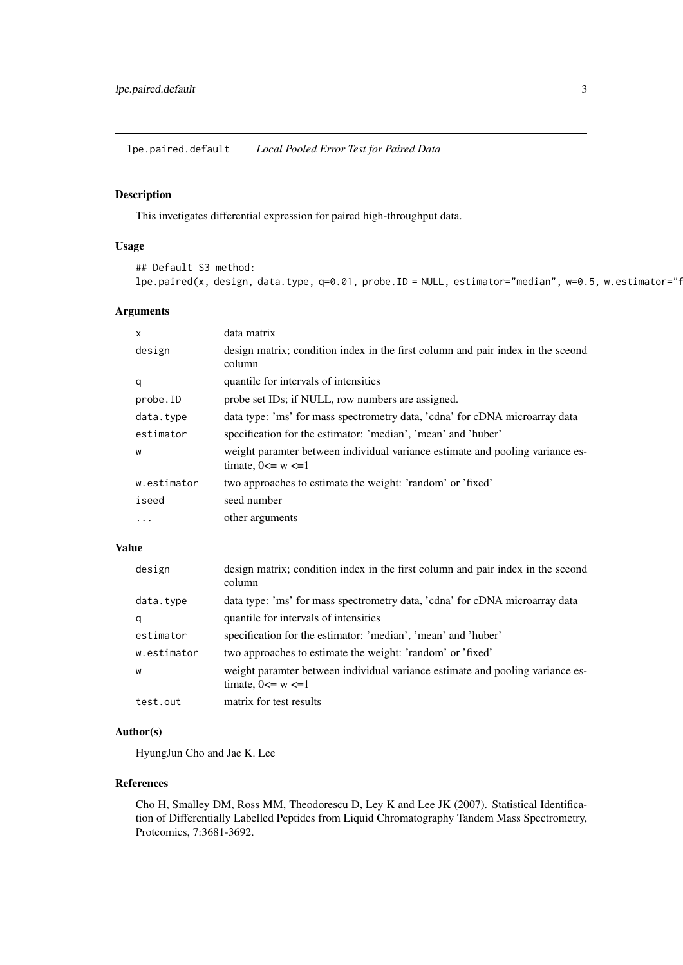<span id="page-2-1"></span><span id="page-2-0"></span>lpe.paired.default *Local Pooled Error Test for Paired Data*

#### Description

This invetigates differential expression for paired high-throughput data.

#### Usage

```
## Default S3 method:
lpe.paired(x, design, data.type, q=0.01, probe.ID = NULL, estimator="median", w=0.5, w.estimator="f
```
#### Arguments

| X           | data matrix                                                                                              |
|-------------|----------------------------------------------------------------------------------------------------------|
| design      | design matrix; condition index in the first column and pair index in the sceond<br>column                |
| q           | quantile for intervals of intensities                                                                    |
| probe.ID    | probe set IDs; if NULL, row numbers are assigned.                                                        |
| data.type   | data type: 'ms' for mass spectrometry data, 'cdna' for cDNA microarray data                              |
| estimator   | specification for the estimator: 'median', 'mean' and 'huber'                                            |
| W           | weight paramter between individual variance estimate and pooling variance es-<br>timate, $0 \le w \le 1$ |
| w.estimator | two approaches to estimate the weight: 'random' or 'fixed'                                               |
| iseed       | seed number                                                                                              |
| .           | other arguments                                                                                          |

#### Value

| design      | design matrix; condition index in the first column and pair index in the sceond<br>column                |
|-------------|----------------------------------------------------------------------------------------------------------|
| data.type   | data type: 'ms' for mass spectrometry data, 'cdna' for cDNA microarray data                              |
| q           | quantile for intervals of intensities                                                                    |
| estimator   | specification for the estimator: 'median', 'mean' and 'huber'                                            |
| w.estimator | two approaches to estimate the weight: 'random' or 'fixed'                                               |
| W           | weight paramter between individual variance estimate and pooling variance es-<br>timate, $0 \le w \le 1$ |
| test.out    | matrix for test results                                                                                  |

#### Author(s)

HyungJun Cho and Jae K. Lee

#### References

Cho H, Smalley DM, Ross MM, Theodorescu D, Ley K and Lee JK (2007). Statistical Identification of Differentially Labelled Peptides from Liquid Chromatography Tandem Mass Spectrometry, Proteomics, 7:3681-3692.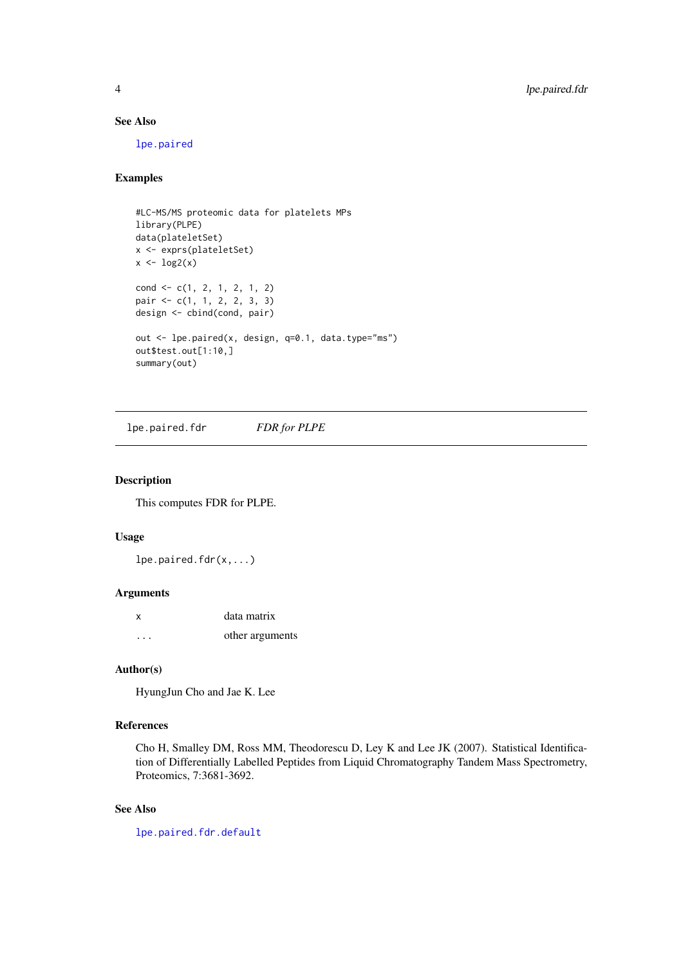#### See Also

[lpe.paired](#page-1-1)

#### Examples

```
#LC-MS/MS proteomic data for platelets MPs
library(PLPE)
data(plateletSet)
x <- exprs(plateletSet)
x \leftarrow \log 2(x)cond \leftarrow c(1, 2, 1, 2, 1, 2)pair <- c(1, 1, 2, 2, 3, 3)
design <- cbind(cond, pair)
out <- lpe.paired(x, design, q=0.1, data.type="ms")
out$test.out[1:10,]
summary(out)
```
<span id="page-3-1"></span>lpe.paired.fdr *FDR for PLPE*

#### Description

This computes FDR for PLPE.

#### Usage

 $lpe.paired.fdr(x,...)$ 

#### Arguments

| $\boldsymbol{\mathsf{x}}$ | data matrix     |
|---------------------------|-----------------|
| $\cdot$ $\cdot$ $\cdot$   | other arguments |

#### Author(s)

HyungJun Cho and Jae K. Lee

#### References

Cho H, Smalley DM, Ross MM, Theodorescu D, Ley K and Lee JK (2007). Statistical Identification of Differentially Labelled Peptides from Liquid Chromatography Tandem Mass Spectrometry, Proteomics, 7:3681-3692.

#### See Also

[lpe.paired.fdr.default](#page-4-1)

<span id="page-3-0"></span>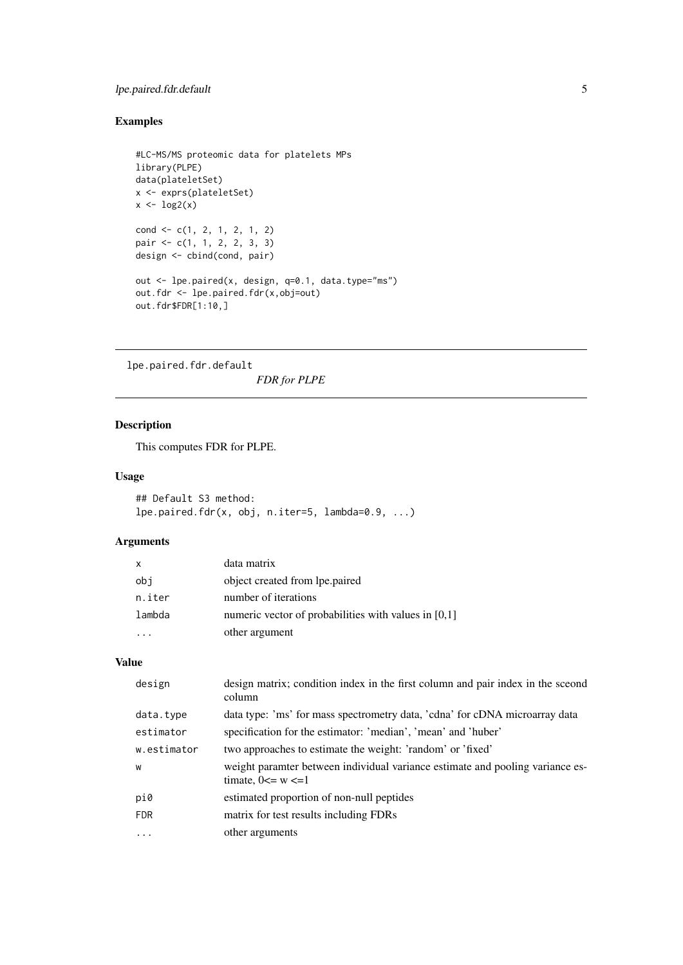#### <span id="page-4-0"></span>lpe.paired.fdr.default 5

#### Examples

```
#LC-MS/MS proteomic data for platelets MPs
library(PLPE)
data(plateletSet)
x <- exprs(plateletSet)
x \leftarrow \log 2(x)cond <- c(1, 2, 1, 2, 1, 2)
pair <- c(1, 1, 2, 2, 3, 3)
design <- cbind(cond, pair)
out <- lpe.paired(x, design, q=0.1, data.type="ms")
out.fdr <- lpe.paired.fdr(x,obj=out)
out.fdr$FDR[1:10,]
```
<span id="page-4-1"></span>lpe.paired.fdr.default *FDR for PLPE*

#### Description

This computes FDR for PLPE.

#### Usage

```
## Default S3 method:
lpe.paired.fdr(x, obj, n.iter=5, lambda=0.9, ...)
```
#### Arguments

| $\mathsf{x}$ | data matrix                                          |
|--------------|------------------------------------------------------|
| obj          | object created from lpe.paired                       |
| n.iter       | number of iterations                                 |
| lambda       | numeric vector of probabilities with values in [0,1] |
|              | other argument                                       |

#### Value

| design      | design matrix; condition index in the first column and pair index in the sceond<br>column                |
|-------------|----------------------------------------------------------------------------------------------------------|
| data.type   | data type: 'ms' for mass spectrometry data, 'cdna' for cDNA microarray data                              |
| estimator   | specification for the estimator: 'median', 'mean' and 'huber'                                            |
| w.estimator | two approaches to estimate the weight: 'random' or 'fixed'                                               |
| W           | weight paramter between individual variance estimate and pooling variance es-<br>timate, $0 \le w \le 1$ |
| pi0         | estimated proportion of non-null peptides                                                                |
| <b>FDR</b>  | matrix for test results including FDRs                                                                   |
| .           | other arguments                                                                                          |
|             |                                                                                                          |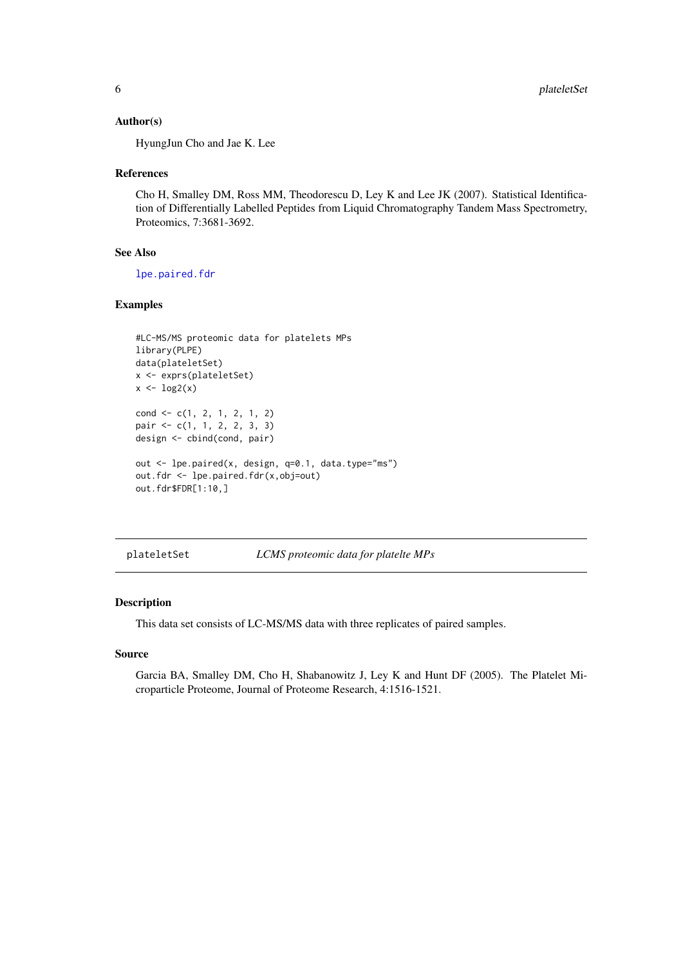#### Author(s)

HyungJun Cho and Jae K. Lee

#### References

Cho H, Smalley DM, Ross MM, Theodorescu D, Ley K and Lee JK (2007). Statistical Identification of Differentially Labelled Peptides from Liquid Chromatography Tandem Mass Spectrometry, Proteomics, 7:3681-3692.

#### See Also

[lpe.paired.fdr](#page-3-1)

#### Examples

```
#LC-MS/MS proteomic data for platelets MPs
library(PLPE)
data(plateletSet)
x <- exprs(plateletSet)
x \leftarrow \log 2(x)cond \leftarrow c(1, 2, 1, 2, 1, 2)pair <- c(1, 1, 2, 2, 3, 3)
design <- cbind(cond, pair)
out <- lpe.paired(x, design, q=0.1, data.type="ms")
out.fdr <- lpe.paired.fdr(x,obj=out)
out.fdr$FDR[1:10,]
```
plateletSet *LCMS proteomic data for platelte MPs*

#### Description

This data set consists of LC-MS/MS data with three replicates of paired samples.

#### Source

Garcia BA, Smalley DM, Cho H, Shabanowitz J, Ley K and Hunt DF (2005). The Platelet Microparticle Proteome, Journal of Proteome Research, 4:1516-1521.

<span id="page-5-0"></span>